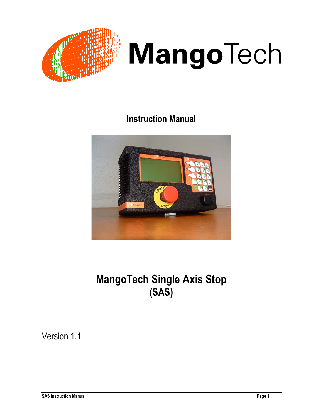



# **Instruction Manual**



# **MangoTech Single Axis Stop (SAS)**

Version 1.1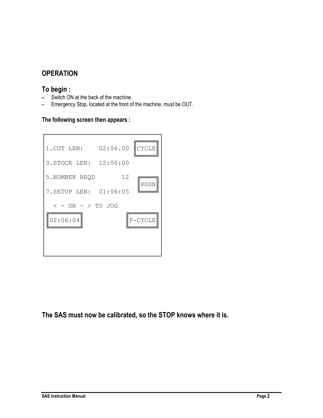# **OPERATION**

## **To begin :**

- **-** Switch ON at the back of the machine.
- **-** Emergency Stop, located at the front of the machine, must be OUT.

## **The following screen then appears :**



**The SAS must now be calibrated, so the STOP knows where it is.**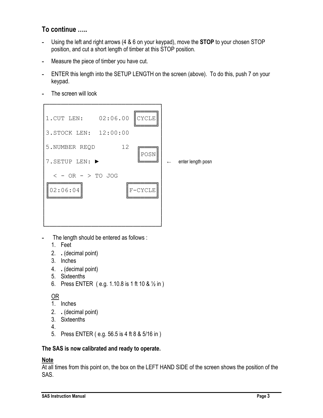# **To continue …..**

- **-** Using the left and right arrows (4 & 6 on your keypad), move the **STOP** to your chosen STOP position, and cut a short length of timber at this STOP position.
- **-** Measure the piece of timber you have cut.
- **-** ENTER this length into the SETUP LENGTH on the screen (above). To do this, push 7 on your keypad.
- **-** The screen will look



- **-** The length should be entered as follows :
	- 1. Feet
	- 2. **.** (decimal point)
	- 3. Inches
	- 4. **.** (decimal point)
	- 5. Sixteenths
	- 6. Press ENTER ( e.g. 1.10.8 is 1 ft 10 & ½ in )

## OR

- 1. Inches
- 2. **.** (decimal point)
- 3. Sixteenths
- 4.
- 5. Press ENTER ( e.g. 56.5 is 4 ft 8 & 5/16 in )

## **The SAS is now calibrated and ready to operate.**

## **Note**

At all times from this point on, the box on the LEFT HAND SIDE of the screen shows the position of the SAS.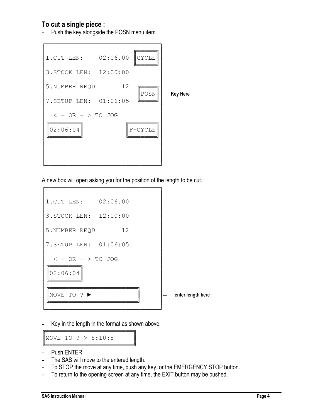## **To cut a single piece :**

**-** Push the key alongside the POSN menu item



A new box will open asking you for the position of the length to be cut.:



**-** Key in the length in the format as shown above.

╔═════════════════════════════════╗ MOVE TO  $? > 5:10:8$ ╚═══════════════════════╝

- **-** Push ENTER.
- **-** The SAS will move to the entered length.
- **-** To STOP the move at any time, push any key, or the EMERGENCY STOP button.
- **-** To return to the opening screen at any time, the EXIT button may be pushed.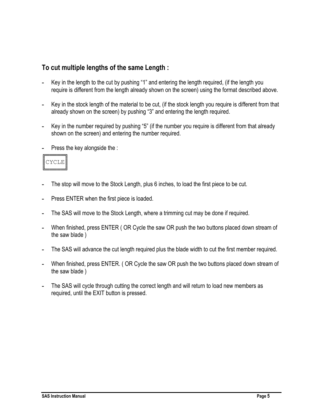## **To cut multiple lengths of the same Length :**

- **-** Key in the length to the cut by pushing "1" and entering the length required, (if the length you require is different from the length already shown on the screen) using the format described above.
- **-** Key in the stock length of the material to be cut, (if the stock length you require is different from that already shown on the screen) by pushing "3" and entering the length required.
- **-** Key in the number required by pushing "5" (if the number you require is different from that already shown on the screen) and entering the number required.
- **-** Press the key alongside the :



- **-** The stop will move to the Stock Length, plus 6 inches, to load the first piece to be cut.
- **-** Press ENTER when the first piece is loaded.
- **-** The SAS will move to the Stock Length, where a trimming cut may be done if required.
- **-** When finished, press ENTER ( OR Cycle the saw OR push the two buttons placed down stream of the saw blade )
- **-** The SAS will advance the cut length required plus the blade width to cut the first member required.
- **-** When finished, press ENTER. ( OR Cycle the saw OR push the two buttons placed down stream of the saw blade )
- **-** The SAS will cycle through cutting the correct length and will return to load new members as required, until the EXIT button is pressed.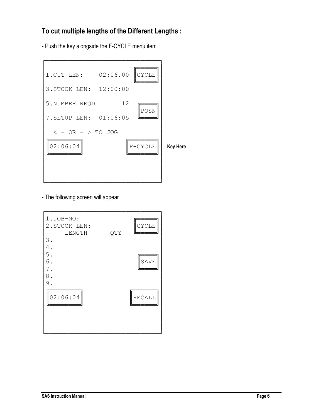# **To cut multiple lengths of the Different Lengths :**

- Push the key alongside the F-CYCLE menu item



- The following screen will appear

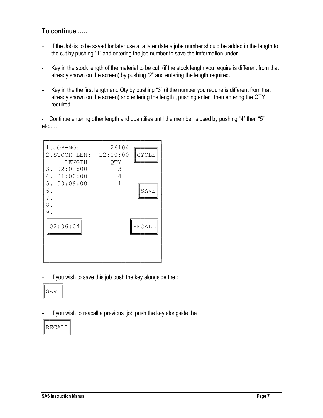# **To continue …..**

- **-** If the Job is to be saved for later use at a later date a jobe number should be added in the length to the cut by pushing "1" and entering the job number to save the imformation under.
- Key in the stock length of the material to be cut, (if the stock length you require is different from that already shown on the screen) by pushing "2" and entering the length required.
- **-** Key in the the first length and Qty by pushing "3" (if the number you require is different from that already shown on the screen) and entering the length , pushing enter , then entering the QTY required.

- Continue entering other length and quantities until the member is used by pushing "4" then "5" etc…..



**-** If you wish to save this job push the key alongside the :



**-** If you wish to reacall a previous job push the key alongside the :

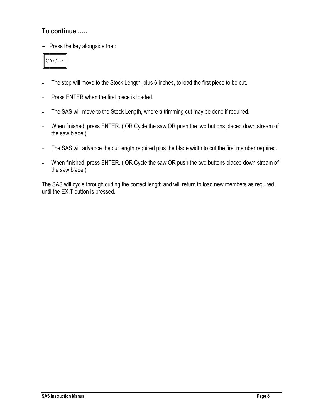## **To continue …..**

- Press the key alongside the :



- **-** The stop will move to the Stock Length, plus 6 inches, to load the first piece to be cut.
- **-** Press ENTER when the first piece is loaded.
- **-** The SAS will move to the Stock Length, where a trimming cut may be done if required.
- **-** When finished, press ENTER. ( OR Cycle the saw OR push the two buttons placed down stream of the saw blade )
- **-** The SAS will advance the cut length required plus the blade width to cut the first member required.
- **-** When finished, press ENTER. ( OR Cycle the saw OR push the two buttons placed down stream of the saw blade )

The SAS will cycle through cutting the correct length and will return to load new members as required, until the EXIT button is pressed.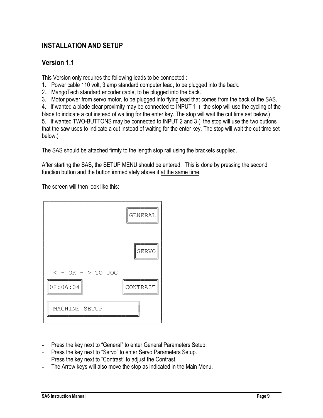# **INSTALLATION AND SETUP**

## **Version 1.1**

This Version only requires the following leads to be connected :

- 1. Power cable 110 volt, 3 amp standard computer lead, to be plugged into the back.
- 2. MangoTech standard encoder cable, to be plugged into the back.
- 3. Motor power from servo motor, to be plugged into flying lead that comes from the back of the SAS.

4. If wanted a blade clear proximity may be connected to INPUT 1 ( the stop will use the cycling of the blade to indicate a cut instead of waiting for the enter key. The stop will wait the cut time set below.) 5. If wanted TWO-BUTTONS may be connected to INPUT 2 and 3 ( the stop will use the two buttons that the saw uses to indicate a cut instead of waiting for the enter key. The stop will wait the cut time set below.)

The SAS should be attached firmly to the length stop rail using the brackets supplied.

After starting the SAS, the SETUP MENU should be entered. This is done by pressing the second function button and the button immediately above it at the same time.

The screen will then look like this:



- Press the key next to "General" to enter General Parameters Setup.
- Press the key next to "Servo" to enter Servo Parameters Setup.
- Press the key next to "Contrast" to adjust the Contrast.
- The Arrow keys will also move the stop as indicated in the Main Menu.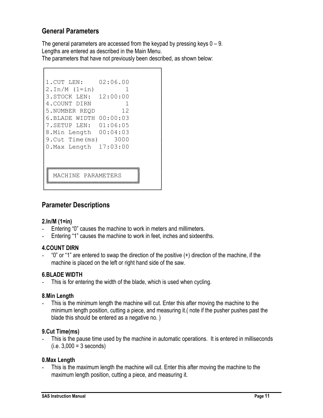## **General Parameters**

The general parameters are accessed from the keypad by pressing keys  $0 - 9$ . Lengths are entered as described in the Main Menu. The parameters that have not previously been described, as shown below:

```
│ │
1.CUT LEN: 02:06.00
2.\text{In/M} (1=in) 1
3.STOCK LEN: 12:00:00
4.COUNT DIRN 1
5.NUMBER REQD 12
6.BLADE WIDTH 00:00:03
7.SETUP LEN: 01:06:05
8.Min Length 00:04:03
9. Cut Time (ms) 3000
0.Max Length 17:03:00
│ │
│ │
│╔<del>════════════</del>═════════════</del>┓
  MACHINE PARAMETERS
│╚<del>═══════════</del>════════════════════════╝</del>
```
└──────────────────────────────┘

┌──────────────────────────────┐

## **Parameter Descriptions**

## **2.In/M (1=in)**

- Entering "0" causes the machine to work in meters and millimeters.
- Entering "1" causes the machine to work in feet, inches and sixteenths.

## **4.COUNT DIRN**

- "0" or "1" are entered to swap the direction of the positive (+) direction of the machine, if the machine is placed on the left or right hand side of the saw.

## **6.BLADE WIDTH**

- This is for entering the width of the blade, which is used when cycling.

#### **8.Min Length**

This is the minimum length the machine will cut. Enter this after moving the machine to the minimum length position, cutting a piece, and measuring it.( note if the pusher pushes past the blade this should be entered as a negative no. )

#### **9.Cut Time(ms)**

This is the pause time used by the machine in automatic operations. It is entered in milliseconds  $(i.e. 3,000 = 3 seconds)$ 

#### **0.Max Length**

This is the maximum length the machine will cut. Enter this after moving the machine to the maximum length position, cutting a piece, and measuring it.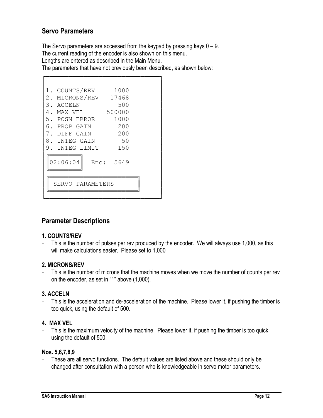## **Servo Parameters**

The Servo parameters are accessed from the keypad by pressing keys  $0 - 9$ . The current reading of the encoder is also shown on this menu.

Lengths are entered as described in the Main Menu.

The parameters that have not previously been described, as shown below:

| COUNTS/REV           | 1000      |  |
|----------------------|-----------|--|
| 2. MICRONS/REV 17468 |           |  |
| 3. ACCELN            | 500       |  |
| 4. MAX VEL           | 500000    |  |
| 5. POSN ERROR        | 1000      |  |
| 6. PROP GAIN         | 200       |  |
| DIFF GAIN            | 200       |  |
| 8. INTEG GAIN        | 50        |  |
| 9. INTEG LIMIT       | 150       |  |
| 02:06:04             | Enc: 5649 |  |
| SERVO PARAMETERS     |           |  |
|                      |           |  |

## **Parameter Descriptions**

## **1. COUNTS/REV**

- This is the number of pulses per rev produced by the encoder. We will always use 1,000, as this will make calculations easier. Please set to 1,000

## **2. MICRONS/REV**

This is the number of microns that the machine moves when we move the number of counts per rev on the encoder, as set in "1" above (1,000).

## **3. ACCELN**

**-** This is the acceleration and de-acceleration of the machine. Please lower it, if pushing the timber is too quick, using the default of 500.

#### **4. MAX VEL**

**-** This is the maximum velocity of the machine. Please lower it, if pushing the timber is too quick, using the default of 500.

#### **Nos. 5,6,7,8,9**

**-** These are all servo functions. The default values are listed above and these should only be changed after consultation with a person who is knowledgeable in servo motor parameters.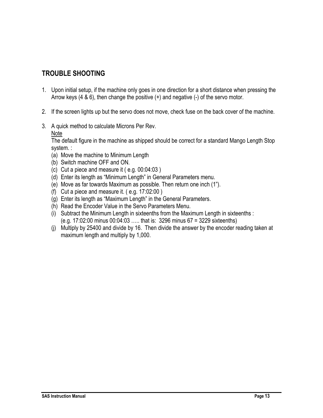# **TROUBLE SHOOTING**

- 1. Upon initial setup, if the machine only goes in one direction for a short distance when pressing the Arrow keys (4 & 6), then change the positive (+) and negative (-) of the servo motor.
- 2. If the screen lights up but the servo does not move, check fuse on the back cover of the machine.
- 3. A quick method to calculate Microns Per Rev.

Note

The default figure in the machine as shipped should be correct for a standard Mango Length Stop system. :

- (a) Move the machine to Minimum Length
- (b) Switch machine OFF and ON.
- (c) Cut a piece and measure it ( e.g. 00:04:03 )
- (d) Enter its length as "Minimum Length" in General Parameters menu.
- (e) Move as far towards Maximum as possible. Then return one inch (1").
- (f) Cut a piece and measure it. ( e.g. 17:02:00 )
- (g) Enter its length as "Maximum Length" in the General Parameters.
- (h) Read the Encoder Value in the Servo Parameters Menu.
- (i) Subtract the Minimum Length in sixteenths from the Maximum Length in sixteenths : (e.g. 17:02:00 minus 00:04:03 ….. that is: 3296 minus 67 = 3229 sixteenths)
- (j) Multiply by 25400 and divide by 16. Then divide the answer by the encoder reading taken at maximum length and multiply by 1,000.